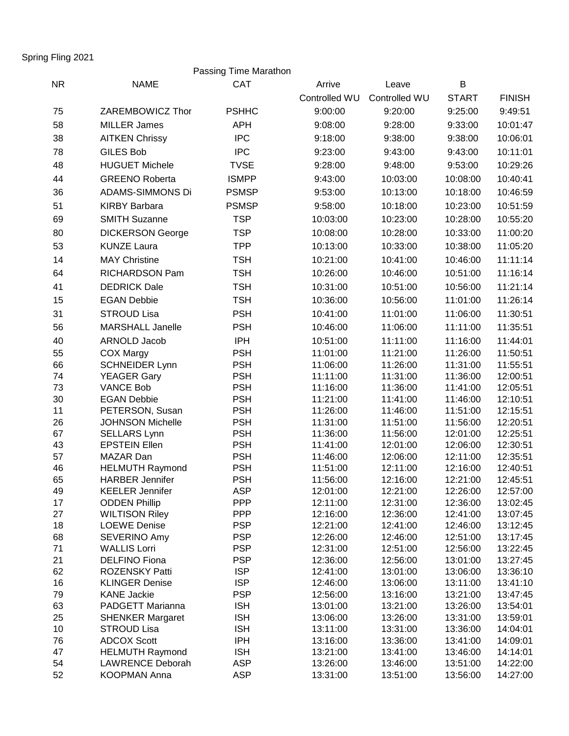Spring Fling 2021

## Passing Time Marathon

| <b>NR</b> | <b>NAME</b>                                      | <b>CAT</b>               | Arrive               | Leave                | B                    |                      |
|-----------|--------------------------------------------------|--------------------------|----------------------|----------------------|----------------------|----------------------|
|           |                                                  |                          | Controlled WU        | Controlled WU        | <b>START</b>         | <b>FINISH</b>        |
| 75        | ZAREMBOWICZ Thor                                 | <b>PSHHC</b>             | 9:00:00              | 9:20:00              | 9:25:00              | 9:49:51              |
| 58        | <b>MILLER James</b>                              | <b>APH</b>               | 9:08:00              | 9:28:00              | 9:33:00              | 10:01:47             |
| 38        | <b>AITKEN Chrissy</b>                            | <b>IPC</b>               | 9:18:00              | 9:38:00              | 9:38:00              | 10:06:01             |
| 78        | <b>GILES Bob</b>                                 | <b>IPC</b>               | 9:23:00              | 9:43:00              | 9:43:00              | 10:11:01             |
| 48        | <b>HUGUET Michele</b>                            | <b>TVSE</b>              | 9:28:00              | 9:48:00              | 9:53:00              | 10:29:26             |
| 44        | <b>GREENO Roberta</b>                            | <b>ISMPP</b>             | 9:43:00              | 10:03:00             | 10:08:00             | 10:40:41             |
|           | <b>ADAMS-SIMMONS Di</b>                          | <b>PSMSP</b>             |                      | 10:13:00             |                      |                      |
| 36        |                                                  |                          | 9:53:00              |                      | 10:18:00             | 10:46:59             |
| 51        | <b>KIRBY Barbara</b>                             | <b>PSMSP</b>             | 9:58:00              | 10:18:00             | 10:23:00             | 10:51:59             |
| 69        | <b>SMITH Suzanne</b>                             | <b>TSP</b>               | 10:03:00             | 10:23:00             | 10:28:00             | 10:55:20             |
| 80        | <b>DICKERSON George</b>                          | <b>TSP</b>               | 10:08:00             | 10:28:00             | 10:33:00             | 11:00:20             |
| 53        | <b>KUNZE Laura</b>                               | <b>TPP</b>               | 10:13:00             | 10:33:00             | 10:38:00             | 11:05:20             |
| 14        | <b>MAY Christine</b>                             | <b>TSH</b>               | 10:21:00             | 10:41:00             | 10:46:00             | 11:11:14             |
| 64        | RICHARDSON Pam                                   | <b>TSH</b>               | 10:26:00             | 10:46:00             | 10:51:00             | 11:16:14             |
| 41        | <b>DEDRICK Dale</b>                              | <b>TSH</b>               | 10:31:00             | 10:51:00             | 10:56:00             | 11:21:14             |
| 15        | <b>EGAN Debbie</b>                               | <b>TSH</b>               | 10:36:00             | 10:56:00             | 11:01:00             | 11:26:14             |
| 31        | <b>STROUD Lisa</b>                               | <b>PSH</b>               | 10:41:00             | 11:01:00             | 11:06:00             | 11:30:51             |
| 56        | <b>MARSHALL Janelle</b>                          | <b>PSH</b>               | 10:46:00             | 11:06:00             | 11:11:00             | 11:35:51             |
| 40        | ARNOLD Jacob                                     | <b>IPH</b>               | 10:51:00             | 11:11:00             | 11:16:00             | 11:44:01             |
| 55        | <b>COX Margy</b>                                 | <b>PSH</b>               | 11:01:00             | 11:21:00             | 11:26:00             | 11:50:51             |
| 66        | <b>SCHNEIDER Lynn</b>                            | <b>PSH</b>               | 11:06:00             | 11:26:00             | 11:31:00             | 11:55:51             |
| 74        | <b>YEAGER Gary</b>                               | <b>PSH</b>               | 11:11:00             | 11:31:00             | 11:36:00             | 12:00:51             |
| 73        | <b>VANCE Bob</b>                                 | <b>PSH</b>               | 11:16:00             | 11:36:00             | 11:41:00             | 12:05:51             |
| 30        | <b>EGAN Debbie</b>                               | <b>PSH</b>               | 11:21:00             | 11:41:00             | 11:46:00             | 12:10:51             |
| 11        | PETERSON, Susan                                  | <b>PSH</b>               | 11:26:00             | 11:46:00             | 11:51:00             | 12:15:51             |
| 26        | <b>JOHNSON Michelle</b>                          | <b>PSH</b>               | 11:31:00             | 11:51:00             | 11:56:00             | 12:20:51             |
| 67        | <b>SELLARS Lynn</b>                              | <b>PSH</b>               | 11:36:00             | 11:56:00             | 12:01:00             | 12:25:51             |
| 43        | <b>EPSTEIN Ellen</b>                             | <b>PSH</b>               | 11:41:00             | 12:01:00             | 12:06:00             | 12:30:51             |
| 57        | MAZAR Dan                                        | <b>PSH</b>               | 11:46:00             | 12:06:00             | 12:11:00             | 12:35:51             |
| 46<br>65  | <b>HELMUTH Raymond</b><br><b>HARBER Jennifer</b> | <b>PSH</b><br><b>PSH</b> | 11:51:00<br>11:56:00 | 12:11:00<br>12:16:00 | 12:16:00<br>12:21:00 | 12:40:51<br>12:45:51 |
| 49        | <b>KEELER Jennifer</b>                           | <b>ASP</b>               | 12:01:00             | 12:21:00             | 12:26:00             | 12:57:00             |
| 17        | <b>ODDEN Phillip</b>                             | <b>PPP</b>               | 12:11:00             | 12:31:00             | 12:36:00             | 13:02:45             |
| 27        | <b>WILTISON Riley</b>                            | <b>PPP</b>               | 12:16:00             | 12:36:00             | 12:41:00             | 13:07:45             |
| 18        | <b>LOEWE Denise</b>                              | <b>PSP</b>               | 12:21:00             | 12:41:00             | 12:46:00             | 13:12:45             |
| 68        | SEVERINO Amy                                     | <b>PSP</b>               | 12:26:00             | 12:46:00             | 12:51:00             | 13:17:45             |
| 71        | <b>WALLIS Lorri</b>                              | <b>PSP</b>               | 12:31:00             | 12:51:00             | 12:56:00             | 13:22:45             |
| 21        | <b>DELFINO Fiona</b>                             | <b>PSP</b>               | 12:36:00             | 12:56:00             | 13:01:00             | 13:27:45             |
| 62        | ROZENSKY Patti                                   | <b>ISP</b>               | 12:41:00             | 13:01:00             | 13:06:00             | 13:36:10             |
| 16        | <b>KLINGER Denise</b>                            | <b>ISP</b>               | 12:46:00             | 13:06:00             | 13:11:00             | 13:41:10             |
| 79        | <b>KANE Jackie</b>                               | <b>PSP</b>               | 12:56:00             | 13:16:00             | 13:21:00             | 13:47:45             |
| 63        | PADGETT Marianna                                 | <b>ISH</b>               | 13:01:00             | 13:21:00             | 13:26:00             | 13:54:01             |
| 25        | <b>SHENKER Margaret</b>                          | <b>ISH</b>               | 13:06:00             | 13:26:00             | 13:31:00             | 13:59:01             |
| 10<br>76  | <b>STROUD Lisa</b><br><b>ADCOX Scott</b>         | <b>ISH</b><br><b>IPH</b> | 13:11:00<br>13:16:00 | 13:31:00<br>13:36:00 | 13:36:00<br>13:41:00 | 14:04:01<br>14:09:01 |
| 47        | <b>HELMUTH Raymond</b>                           | <b>ISH</b>               | 13:21:00             | 13:41:00             | 13:46:00             | 14:14:01             |
| 54        | <b>LAWRENCE Deborah</b>                          | <b>ASP</b>               | 13:26:00             | 13:46:00             | 13:51:00             | 14:22:00             |
| 52        | KOOPMAN Anna                                     | <b>ASP</b>               | 13:31:00             | 13:51:00             | 13:56:00             | 14:27:00             |
|           |                                                  |                          |                      |                      |                      |                      |